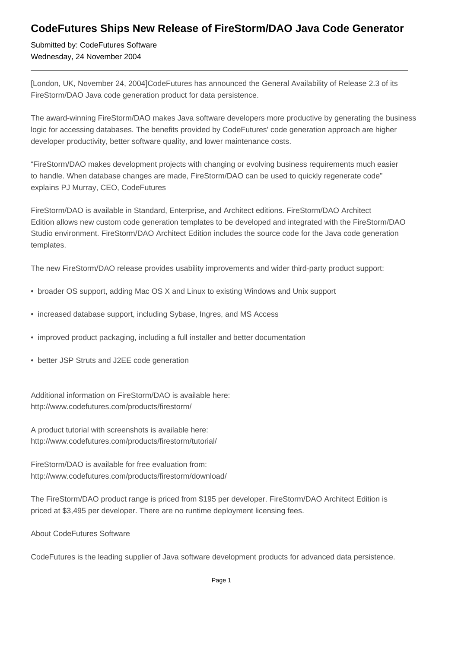## **CodeFutures Ships New Release of FireStorm/DAO Java Code Generator**

Submitted by: CodeFutures Software Wednesday, 24 November 2004

[London, UK, November 24, 2004]CodeFutures has announced the General Availability of Release 2.3 of its FireStorm/DAO Java code generation product for data persistence.

The award-winning FireStorm/DAO makes Java software developers more productive by generating the business logic for accessing databases. The benefits provided by CodeFutures' code generation approach are higher developer productivity, better software quality, and lower maintenance costs.

"FireStorm/DAO makes development projects with changing or evolving business requirements much easier to handle. When database changes are made, FireStorm/DAO can be used to quickly regenerate code" explains PJ Murray, CEO, CodeFutures

FireStorm/DAO is available in Standard, Enterprise, and Architect editions. FireStorm/DAO Architect Edition allows new custom code generation templates to be developed and integrated with the FireStorm/DAO Studio environment. FireStorm/DAO Architect Edition includes the source code for the Java code generation templates.

The new FireStorm/DAO release provides usability improvements and wider third-party product support:

- broader OS support, adding Mac OS X and Linux to existing Windows and Unix support
- increased database support, including Sybase, Ingres, and MS Access
- improved product packaging, including a full installer and better documentation
- better JSP Struts and J2EE code generation

Additional information on FireStorm/DAO is available here: http://www.codefutures.com/products/firestorm/

A product tutorial with screenshots is available here: http://www.codefutures.com/products/firestorm/tutorial/

FireStorm/DAO is available for free evaluation from: http://www.codefutures.com/products/firestorm/download/

The FireStorm/DAO product range is priced from \$195 per developer. FireStorm/DAO Architect Edition is priced at \$3,495 per developer. There are no runtime deployment licensing fees.

About CodeFutures Software

CodeFutures is the leading supplier of Java software development products for advanced data persistence.